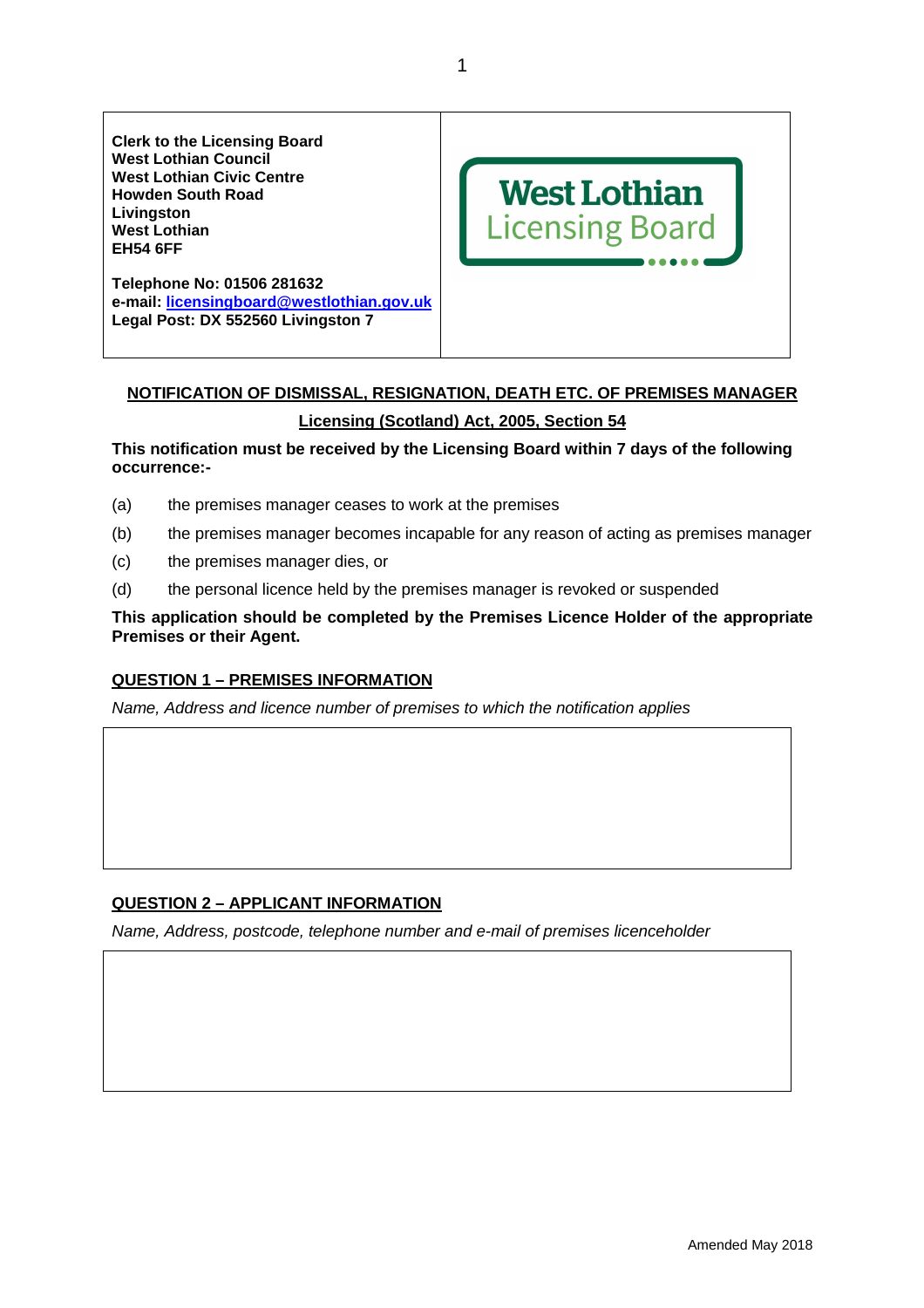**Clerk to the Licensing Board West Lothian Council West Lothian Civic Centre Howden South Road Livingston West Lothian EH54 6FF** 



**Telephone No: 01506 281632 e-mail: licensingboard@westlothian.gov.uk Legal Post: DX 552560 Livingston 7** 

# **NOTIFICATION OF DISMISSAL, RESIGNATION, DEATH ETC. OF PREMISES MANAGER Licensing (Scotland) Act, 2005, Section 54**

**This notification must be received by the Licensing Board within 7 days of the following occurrence:-** 

- (a) the premises manager ceases to work at the premises
- (b) the premises manager becomes incapable for any reason of acting as premises manager
- (c) the premises manager dies, or
- (d) the personal licence held by the premises manager is revoked or suspended

#### **This application should be completed by the Premises Licence Holder of the appropriate Premises or their Agent.**

#### **QUESTION 1 – PREMISES INFORMATION**

Name, Address and licence number of premises to which the notification applies

### **QUESTION 2 – APPLICANT INFORMATION**

Name, Address, postcode, telephone number and e-mail of premises licenceholder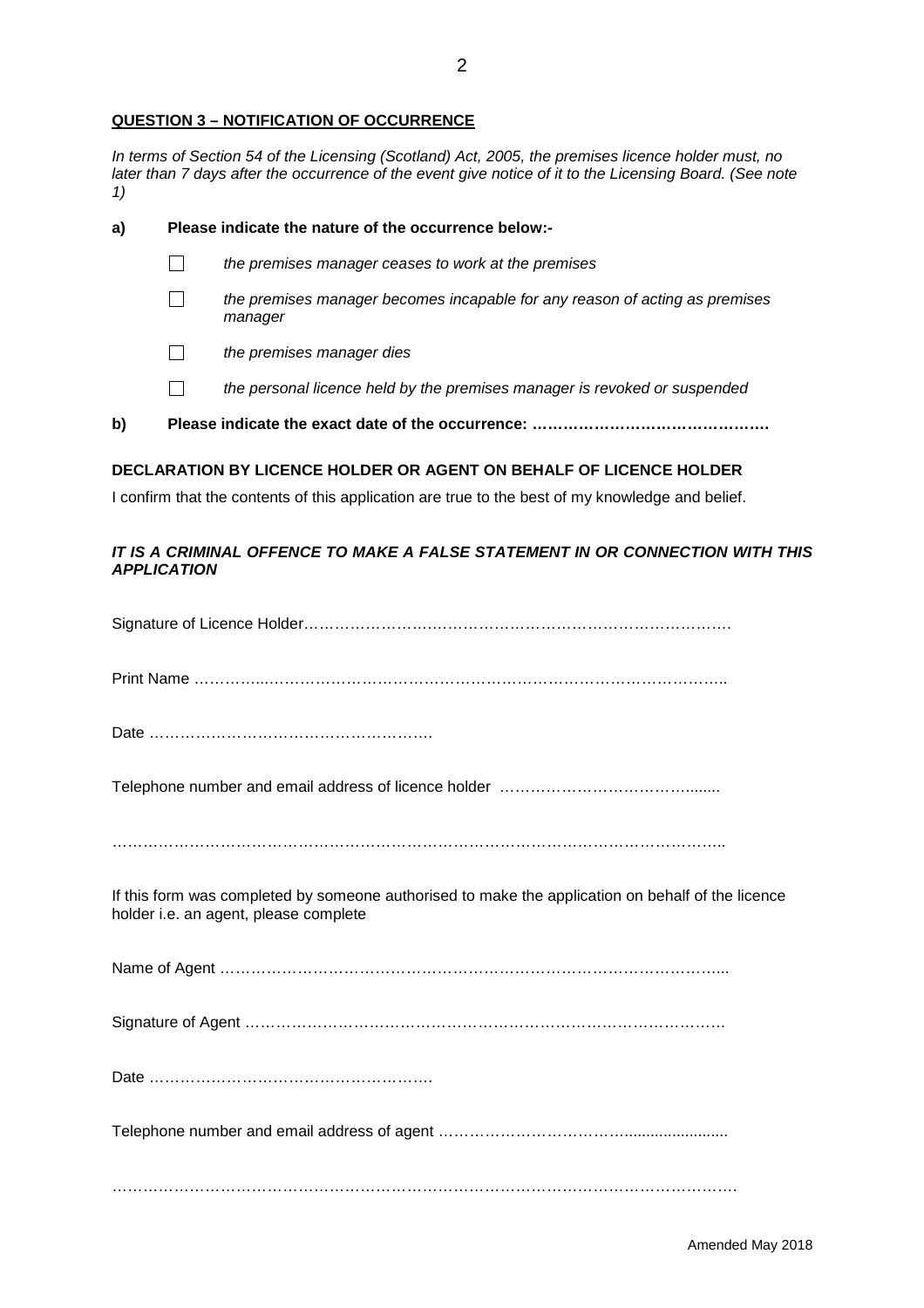#### **QUESTION 3 – NOTIFICATION OF OCCURRENCE**

In terms of Section 54 of the Licensing (Scotland) Act, 2005, the premises licence holder must, no later than 7 days after the occurrence of the event give notice of it to the Licensing Board. (See note 1)

| a) | Please indicate the nature of the occurrence below:-                                   |  |
|----|----------------------------------------------------------------------------------------|--|
|    | the premises manager ceases to work at the premises                                    |  |
|    | the premises manager becomes incapable for any reason of acting as premises<br>manager |  |
|    | the premises manager dies                                                              |  |
|    | the personal licence held by the premises manager is revoked or suspended              |  |
| b) |                                                                                        |  |
|    |                                                                                        |  |

## **DECLARATION BY LICENCE HOLDER OR AGENT ON BEHALF OF LICENCE HOLDER**

I confirm that the contents of this application are true to the best of my knowledge and belief.

#### **IT IS A CRIMINAL OFFENCE TO MAKE A FALSE STATEMENT IN OR CONNECTION WITH THIS APPLICATION**

Signature of Licence Holder…………………….………………………………………………….

Print Name …………...……………………………………………………………………………..

Date ……………………………………………….

Telephone number and email address of licence holder ………………………………........

………………………………………………………………………………………………………..

If this form was completed by someone authorised to make the application on behalf of the licence holder i.e. an agent, please complete

Name of Agent ……………………………………………………………………………………...

Signature of Agent …………………………………………………………………………………

Date ……………………………………………….

Telephone number and email address of agent ………………………………........................

………………………………………………………………………………………………………….